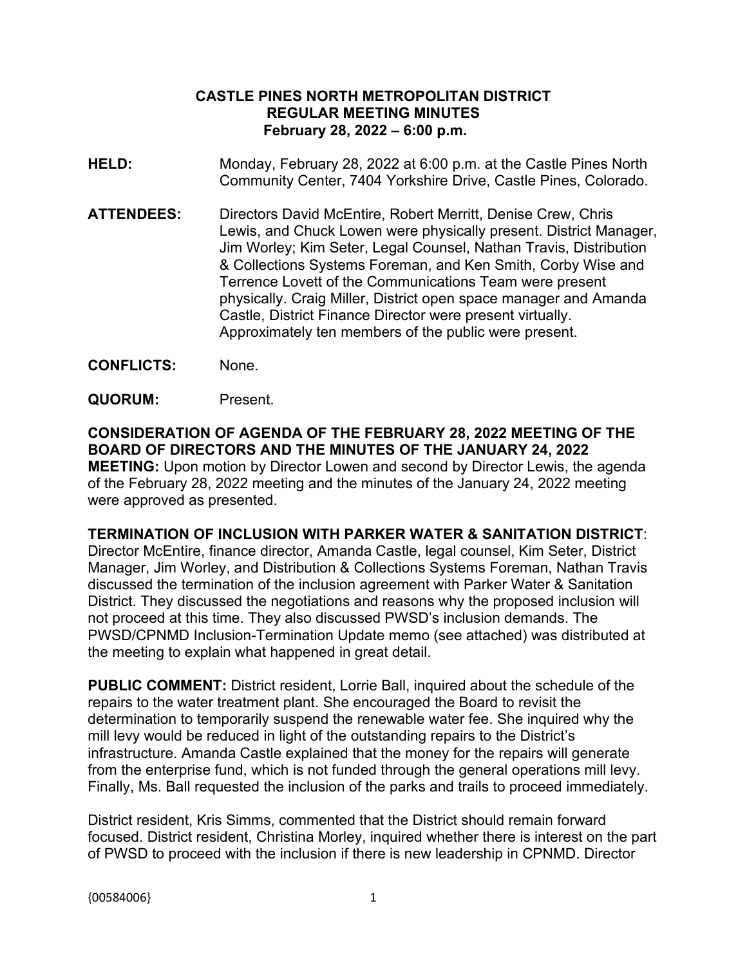#### **CASTLE PINES NORTH METROPOLITAN DISTRICT REGULAR MEETING MINUTES February 28, 2022 – 6:00 p.m.**

- **HELD:** Monday, February 28, 2022 at 6:00 p.m. at the Castle Pines North Community Center, 7404 Yorkshire Drive, Castle Pines, Colorado.
- **ATTENDEES:** Directors David McEntire, Robert Merritt, Denise Crew, Chris Lewis, and Chuck Lowen were physically present. District Manager, Jim Worley; Kim Seter, Legal Counsel, Nathan Travis, Distribution & Collections Systems Foreman, and Ken Smith, Corby Wise and Terrence Lovett of the Communications Team were present physically. Craig Miller, District open space manager and Amanda Castle, District Finance Director were present virtually. Approximately ten members of the public were present.
- **CONFLICTS:** None.
- **QUORUM:** Present.

**CONSIDERATION OF AGENDA OF THE FEBRUARY 28, 2022 MEETING OF THE BOARD OF DIRECTORS AND THE MINUTES OF THE JANUARY 24, 2022 MEETING:** Upon motion by Director Lowen and second by Director Lewis, the agenda of the February 28, 2022 meeting and the minutes of the January 24, 2022 meeting were approved as presented.

#### **TERMINATION OF INCLUSION WITH PARKER WATER & SANITATION DISTRICT**:

Director McEntire, finance director, Amanda Castle, legal counsel, Kim Seter, District Manager, Jim Worley, and Distribution & Collections Systems Foreman, Nathan Travis discussed the termination of the inclusion agreement with Parker Water & Sanitation District. They discussed the negotiations and reasons why the proposed inclusion will not proceed at this time. They also discussed PWSD's inclusion demands. The PWSD/CPNMD Inclusion-Termination Update memo (see attached) was distributed at the meeting to explain what happened in great detail.

**PUBLIC COMMENT:** District resident, Lorrie Ball, inquired about the schedule of the repairs to the water treatment plant. She encouraged the Board to revisit the determination to temporarily suspend the renewable water fee. She inquired why the mill levy would be reduced in light of the outstanding repairs to the District's infrastructure. Amanda Castle explained that the money for the repairs will generate from the enterprise fund, which is not funded through the general operations mill levy. Finally, Ms. Ball requested the inclusion of the parks and trails to proceed immediately.

District resident, Kris Simms, commented that the District should remain forward focused. District resident, Christina Morley, inquired whether there is interest on the part of PWSD to proceed with the inclusion if there is new leadership in CPNMD. Director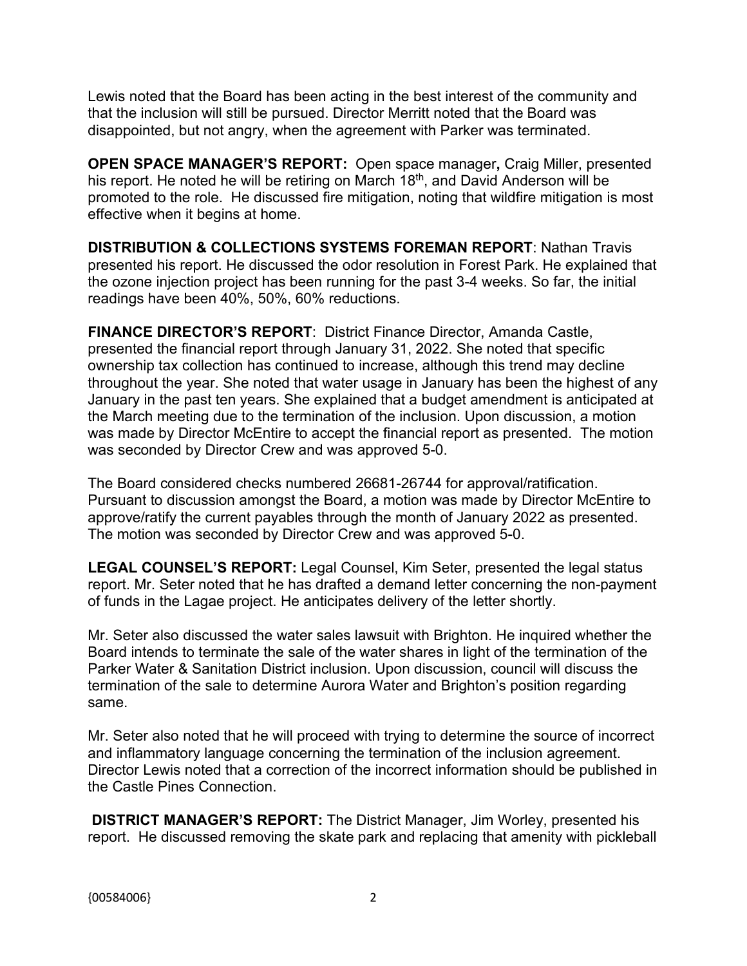Lewis noted that the Board has been acting in the best interest of the community and that the inclusion will still be pursued. Director Merritt noted that the Board was disappointed, but not angry, when the agreement with Parker was terminated.

**OPEN SPACE MANAGER'S REPORT:** Open space manager**,** Craig Miller, presented his report. He noted he will be retiring on March 18<sup>th</sup>, and David Anderson will be promoted to the role. He discussed fire mitigation, noting that wildfire mitigation is most effective when it begins at home.

**DISTRIBUTION & COLLECTIONS SYSTEMS FOREMAN REPORT**: Nathan Travis presented his report. He discussed the odor resolution in Forest Park. He explained that the ozone injection project has been running for the past 3-4 weeks. So far, the initial readings have been 40%, 50%, 60% reductions.

**FINANCE DIRECTOR'S REPORT**: District Finance Director, Amanda Castle, presented the financial report through January 31, 2022. She noted that specific ownership tax collection has continued to increase, although this trend may decline throughout the year. She noted that water usage in January has been the highest of any January in the past ten years. She explained that a budget amendment is anticipated at the March meeting due to the termination of the inclusion. Upon discussion, a motion was made by Director McEntire to accept the financial report as presented. The motion was seconded by Director Crew and was approved 5-0.

The Board considered checks numbered 26681-26744 for approval/ratification. Pursuant to discussion amongst the Board, a motion was made by Director McEntire to approve/ratify the current payables through the month of January 2022 as presented. The motion was seconded by Director Crew and was approved 5-0.

**LEGAL COUNSEL'S REPORT:** Legal Counsel, Kim Seter, presented the legal status report. Mr. Seter noted that he has drafted a demand letter concerning the non-payment of funds in the Lagae project. He anticipates delivery of the letter shortly.

Mr. Seter also discussed the water sales lawsuit with Brighton. He inquired whether the Board intends to terminate the sale of the water shares in light of the termination of the Parker Water & Sanitation District inclusion. Upon discussion, council will discuss the termination of the sale to determine Aurora Water and Brighton's position regarding same.

Mr. Seter also noted that he will proceed with trying to determine the source of incorrect and inflammatory language concerning the termination of the inclusion agreement. Director Lewis noted that a correction of the incorrect information should be published in the Castle Pines Connection.

**DISTRICT MANAGER'S REPORT:** The District Manager, Jim Worley, presented his report. He discussed removing the skate park and replacing that amenity with pickleball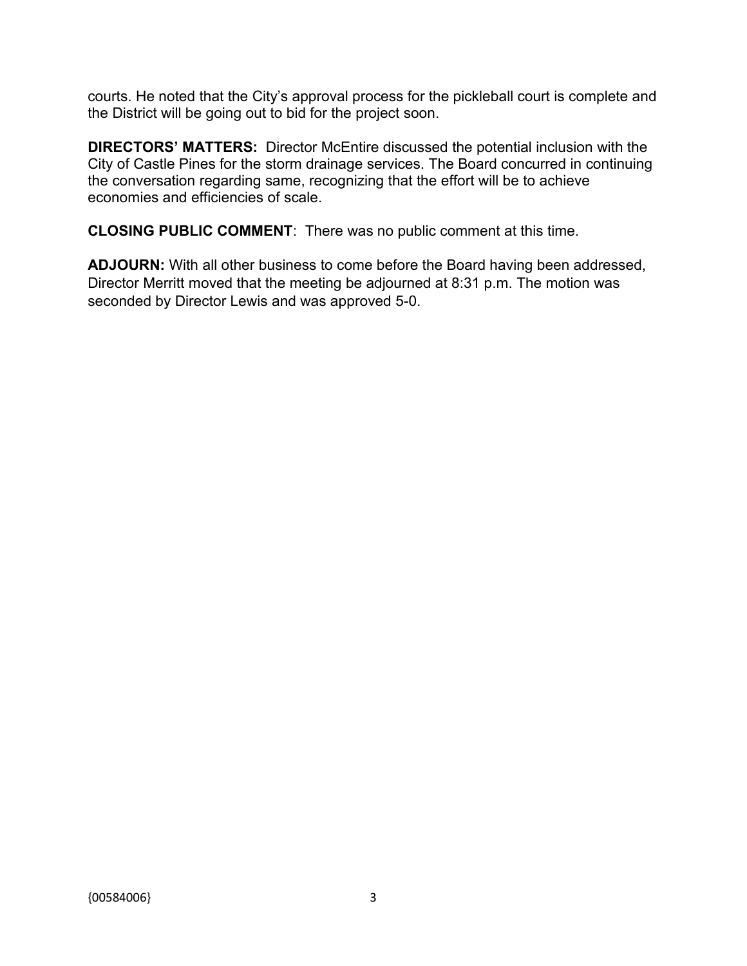courts. He noted that the City's approval process for the pickleball court is complete and the District will be going out to bid for the project soon.

**DIRECTORS' MATTERS:** Director McEntire discussed the potential inclusion with the City of Castle Pines for the storm drainage services. The Board concurred in continuing the conversation regarding same, recognizing that the effort will be to achieve economies and efficiencies of scale.

**CLOSING PUBLIC COMMENT**: There was no public comment at this time.

**ADJOURN:** With all other business to come before the Board having been addressed, Director Merritt moved that the meeting be adjourned at 8:31 p.m. The motion was seconded by Director Lewis and was approved 5-0.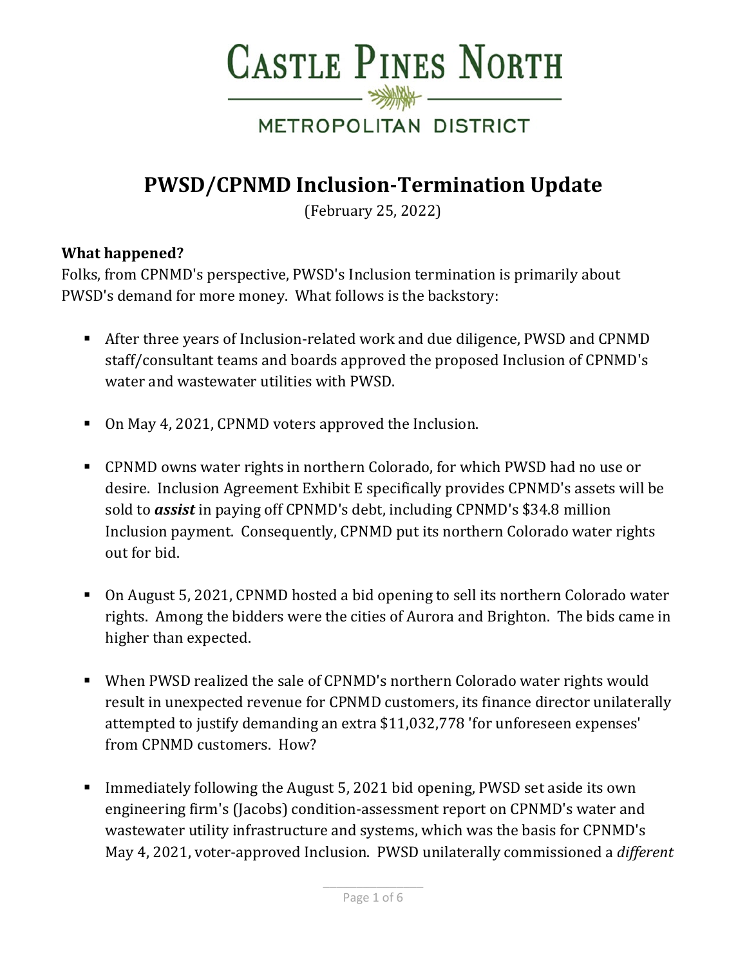

# METROPOLITAN DISTRICT

# **PWSD/CPNMD Inclusion-Termination Update**

(February 25, 2022)

### **What happened?**

Folks, from CPNMD's perspective, PWSD's Inclusion termination is primarily about PWSD's demand for more money. What follows is the backstory:

- After three years of Inclusion-related work and due diligence, PWSD and CPNMD staff/consultant teams and boards approved the proposed Inclusion of CPNMD's water and wastewater utilities with PWSD.
- On May 4, 2021, CPNMD voters approved the Inclusion.
- CPNMD owns water rights in northern Colorado, for which PWSD had no use or desire. Inclusion Agreement Exhibit E specifically provides CPNMD's assets will be sold to *assist* in paying off CPNMD's debt, including CPNMD's \$34.8 million Inclusion payment. Consequently, CPNMD put its northern Colorado water rights out for bid.
- On August 5, 2021, CPNMD hosted a bid opening to sell its northern Colorado water rights. Among the bidders were the cities of Aurora and Brighton. The bids came in higher than expected.
- When PWSD realized the sale of CPNMD's northern Colorado water rights would result in unexpected revenue for CPNMD customers, its finance director unilaterally attempted to justify demanding an extra \$11,032,778 'for unforeseen expenses' from CPNMD customers. How?
- Immediately following the August 5, 2021 bid opening, PWSD set aside its own engineering firm's (Jacobs) condition-assessment report on CPNMD's water and wastewater utility infrastructure and systems, which was the basis for CPNMD's May 4, 2021, voter-approved Inclusion. PWSD unilaterally commissioned a *different*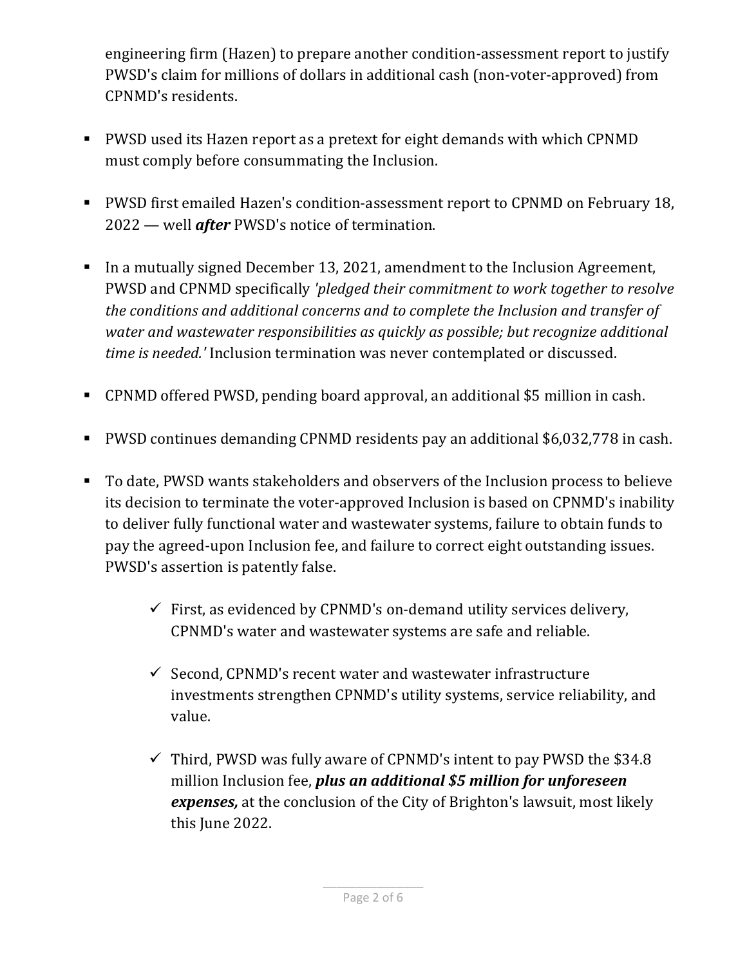engineering firm (Hazen) to prepare another condition-assessment report to justify PWSD's claim for millions of dollars in additional cash (non-voter-approved) from CPNMD's residents.

- PWSD used its Hazen report as a pretext for eight demands with which CPNMD must comply before consummating the Inclusion.
- PWSD first emailed Hazen's condition-assessment report to CPNMD on February 18, 2022 — well *after* PWSD's notice of termination.
- In a mutually signed December 13, 2021, amendment to the Inclusion Agreement, PWSD and CPNMD specifically *'pledged their commitment to work together to resolve the conditions and additional concerns and to complete the Inclusion and transfer of water and wastewater responsibilities as quickly as possible; but recognize additional time is needed.'* Inclusion termination was never contemplated or discussed.
- CPNMD offered PWSD, pending board approval, an additional \$5 million in cash.
- PWSD continues demanding CPNMD residents pay an additional \$6,032,778 in cash.
- To date, PWSD wants stakeholders and observers of the Inclusion process to believe its decision to terminate the voter-approved Inclusion is based on CPNMD's inability to deliver fully functional water and wastewater systems, failure to obtain funds to pay the agreed-upon Inclusion fee, and failure to correct eight outstanding issues. PWSD's assertion is patently false.
	- $\checkmark$  First, as evidenced by CPNMD's on-demand utility services delivery, CPNMD's water and wastewater systems are safe and reliable.
	- $\checkmark$  Second, CPNMD's recent water and wastewater infrastructure investments strengthen CPNMD's utility systems, service reliability, and value.
	- $\checkmark$  Third, PWSD was fully aware of CPNMD's intent to pay PWSD the \$34.8 million Inclusion fee, *plus an additional \$5 million for unforeseen expenses,* at the conclusion of the City of Brighton's lawsuit, most likely this June 2022.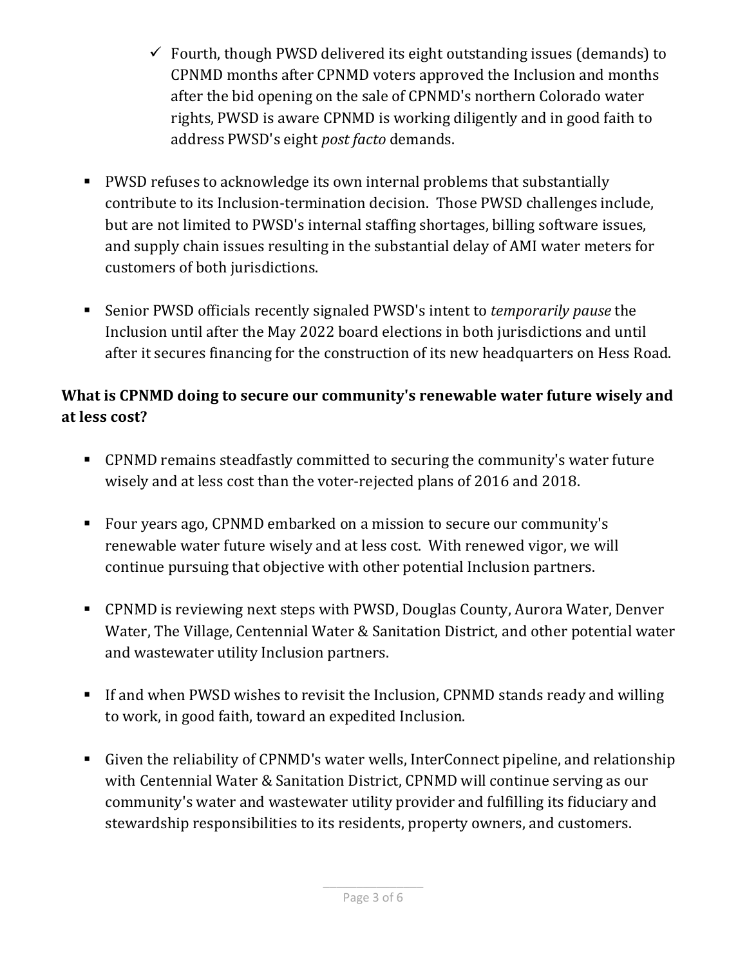- $\checkmark$  Fourth, though PWSD delivered its eight outstanding issues (demands) to CPNMD months after CPNMD voters approved the Inclusion and months after the bid opening on the sale of CPNMD's northern Colorado water rights, PWSD is aware CPNMD is working diligently and in good faith to address PWSD's eight *post facto* demands.
- PWSD refuses to acknowledge its own internal problems that substantially contribute to its Inclusion-termination decision. Those PWSD challenges include, but are not limited to PWSD's internal staffing shortages, billing software issues, and supply chain issues resulting in the substantial delay of AMI water meters for customers of both jurisdictions.
- Senior PWSD officials recently signaled PWSD's intent to *temporarily pause* the Inclusion until after the May 2022 board elections in both jurisdictions and until after it secures financing for the construction of its new headquarters on Hess Road.

## **What is CPNMD doing to secure our community's renewable water future wisely and at less cost?**

- CPNMD remains steadfastly committed to securing the community's water future wisely and at less cost than the voter-rejected plans of 2016 and 2018.
- Four years ago, CPNMD embarked on a mission to secure our community's renewable water future wisely and at less cost. With renewed vigor, we will continue pursuing that objective with other potential Inclusion partners.
- CPNMD is reviewing next steps with PWSD, Douglas County, Aurora Water, Denver Water, The Village, Centennial Water & Sanitation District, and other potential water and wastewater utility Inclusion partners.
- If and when PWSD wishes to revisit the Inclusion, CPNMD stands ready and willing to work, in good faith, toward an expedited Inclusion.
- Given the reliability of CPNMD's water wells, InterConnect pipeline, and relationship with Centennial Water & Sanitation District, CPNMD will continue serving as our community's water and wastewater utility provider and fulfilling its fiduciary and stewardship responsibilities to its residents, property owners, and customers.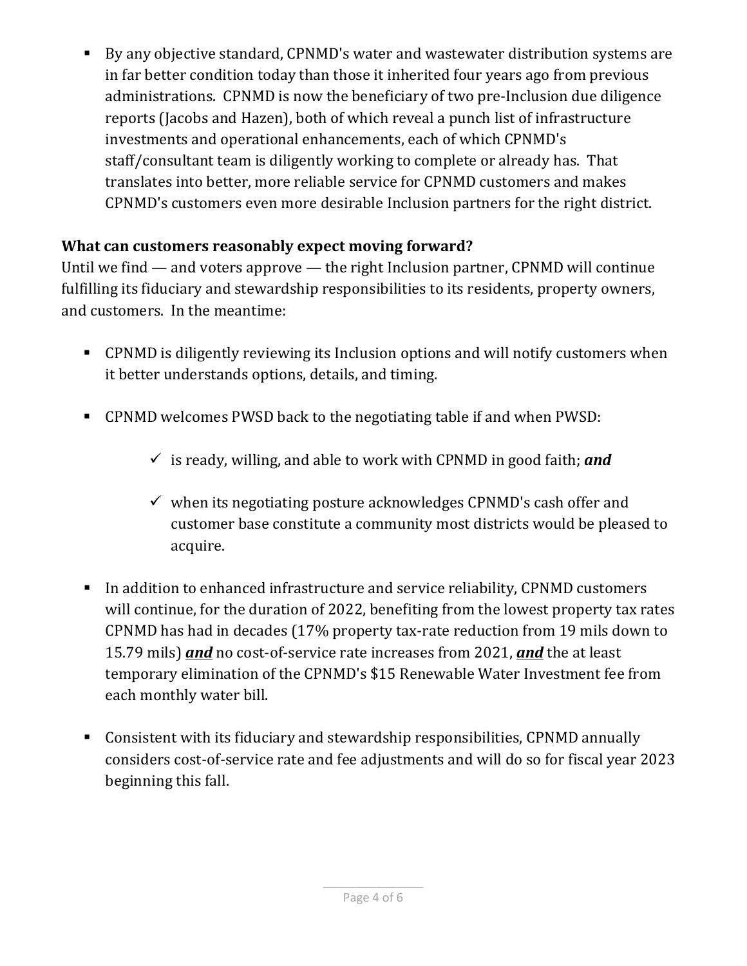By any objective standard, CPNMD's water and wastewater distribution systems are in far better condition today than those it inherited four years ago from previous administrations. CPNMD is now the beneficiary of two pre-Inclusion due diligence reports (Jacobs and Hazen), both of which reveal a punch list of infrastructure investments and operational enhancements, each of which CPNMD's staff/consultant team is diligently working to complete or already has. That translates into better, more reliable service for CPNMD customers and makes CPNMD's customers even more desirable Inclusion partners for the right district.

## **What can customers reasonably expect moving forward?**

Until we find — and voters approve — the right Inclusion partner, CPNMD will continue fulfilling its fiduciary and stewardship responsibilities to its residents, property owners, and customers. In the meantime:

- CPNMD is diligently reviewing its Inclusion options and will notify customers when it better understands options, details, and timing.
- CPNMD welcomes PWSD back to the negotiating table if and when PWSD:
	- $\checkmark$  is ready, willing, and able to work with CPNMD in good faith; and
	- $\checkmark$  when its negotiating posture acknowledges CPNMD's cash offer and customer base constitute a community most districts would be pleased to acquire.
- In addition to enhanced infrastructure and service reliability, CPNMD customers will continue, for the duration of 2022, benefiting from the lowest property tax rates CPNMD has had in decades (17% property tax-rate reduction from 19 mils down to 15.79 mils) *and* no cost-of-service rate increases from 2021, *and* the at least temporary elimination of the CPNMD's \$15 Renewable Water Investment fee from each monthly water bill.
- Consistent with its fiduciary and stewardship responsibilities, CPNMD annually considers cost-of-service rate and fee adjustments and will do so for fiscal year 2023 beginning this fall.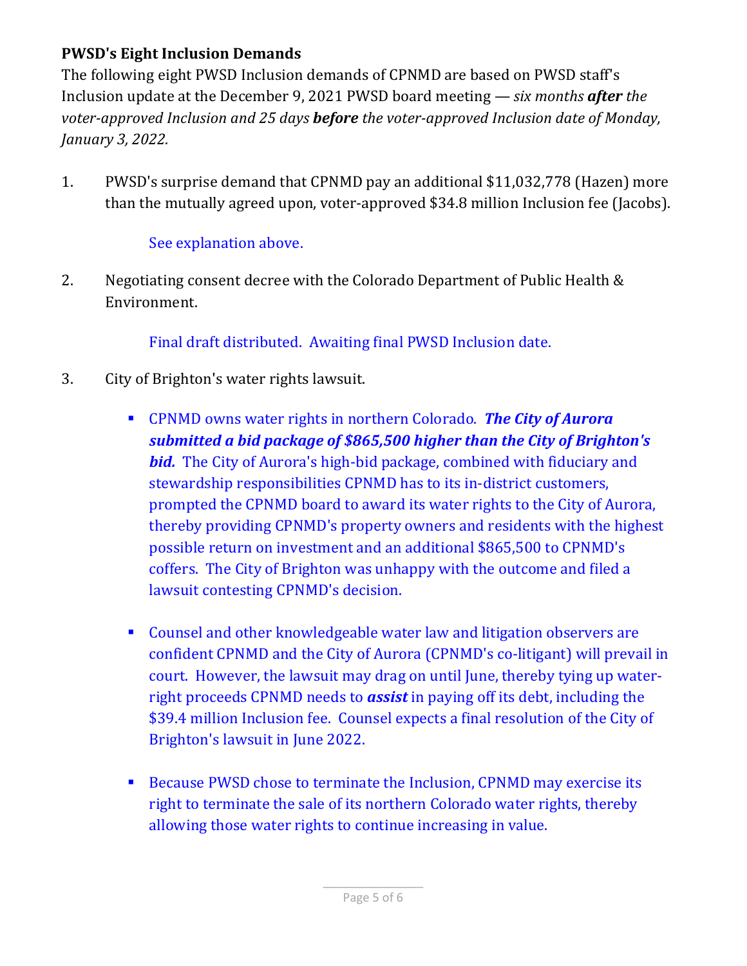## **PWSD's Eight Inclusion Demands**

The following eight PWSD Inclusion demands of CPNMD are based on PWSD staff's Inclusion update at the December 9, 2021 PWSD board meeting — *six months after the voter-approved Inclusion and 25 days before the voter-approved Inclusion date of Monday, January 3, 2022.*

1. PWSD's surprise demand that CPNMD pay an additional \$11,032,778 (Hazen) more than the mutually agreed upon, voter-approved \$34.8 million Inclusion fee (Jacobs).

### See explanation above.

2. Negotiating consent decree with the Colorado Department of Public Health & Environment.

Final draft distributed. Awaiting final PWSD Inclusion date.

- 3. City of Brighton's water rights lawsuit.
	- CPNMD owns water rights in northern Colorado. *The City of Aurora submitted a bid package of \$865,500 higher than the City of Brighton's bid.* The City of Aurora's high-bid package, combined with fiduciary and stewardship responsibilities CPNMD has to its in-district customers, prompted the CPNMD board to award its water rights to the City of Aurora, thereby providing CPNMD's property owners and residents with the highest possible return on investment and an additional \$865,500 to CPNMD's coffers. The City of Brighton was unhappy with the outcome and filed a lawsuit contesting CPNMD's decision.
	- Counsel and other knowledgeable water law and litigation observers are confident CPNMD and the City of Aurora (CPNMD's co-litigant) will prevail in court. However, the lawsuit may drag on until June, thereby tying up waterright proceeds CPNMD needs to *assist* in paying off its debt, including the \$39.4 million Inclusion fee. Counsel expects a final resolution of the City of Brighton's lawsuit in June 2022.
	- Because PWSD chose to terminate the Inclusion, CPNMD may exercise its right to terminate the sale of its northern Colorado water rights, thereby allowing those water rights to continue increasing in value.